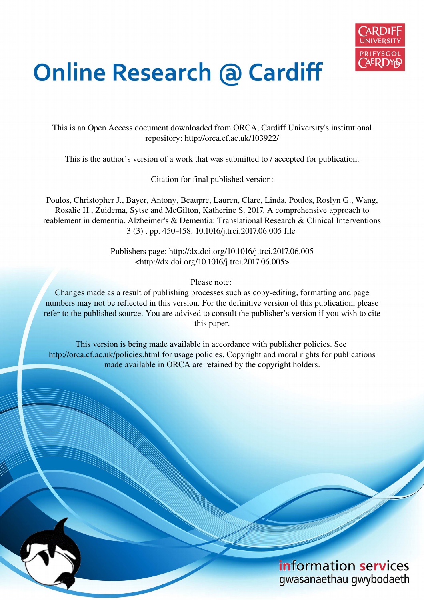

# **Online Research @ Cardiff**

This is an Open Access document downloaded from ORCA, Cardiff University's institutional repository: http://orca.cf.ac.uk/103922/

This is the author's version of a work that was submitted to / accepted for publication.

Citation for final published version:

Poulos, Christopher J., Bayer, Antony, Beaupre, Lauren, Clare, Linda, Poulos, Roslyn G., Wang, Rosalie H., Zuidema, Sytse and McGilton, Katherine S. 2017. A comprehensive approach to reablement in dementia. Alzheimer's & Dementia: Translational Research & Clinical Interventions 3 (3) , pp. 450-458. 10.1016/j.trci.2017.06.005 file

> Publishers page: http://dx.doi.org/10.1016/j.trci.2017.06.005 <http://dx.doi.org/10.1016/j.trci.2017.06.005>

> > Please note:

Changes made as a result of publishing processes such as copy-editing, formatting and page numbers may not be reflected in this version. For the definitive version of this publication, please refer to the published source. You are advised to consult the publisher's version if you wish to cite this paper.

This version is being made available in accordance with publisher policies. See http://orca.cf.ac.uk/policies.html for usage policies. Copyright and moral rights for publications made available in ORCA are retained by the copyright holders.

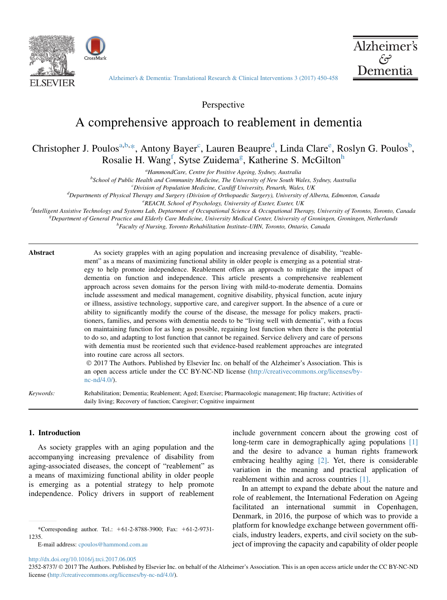

Alzheimer's Dementia

[Alzheimer's & Dementia: Translational Research & Clinical Interventions 3 \(2017\) 450-458](http://dx.doi.org/10.1016/j.trci.2017.06.005)

Perspective

# A comprehensive approach to reablement in dementia

# Christopher J. Poulos<sup>a,b,\*</sup>, Antony Bayer<sup>c</sup>, Lauren Beaupre<sup>d</sup>, Linda Clare<sup>e</sup>, Roslyn G. Poulos<sup>b</sup>, Rosalie H. Wang<sup>f</sup>, Sytse Zuidema<sup>g</sup>, Katherine S. McGilton<sup>h</sup>

*<sup>a</sup>HammondCare, Centre for Positive Ageing, Sydney, Australia*

*b School of Public Health and Community Medicine, The University of New South Wales, Sydney, Australia*

*<sup>c</sup>Division of Population Medicine, Cardiff University, Penarth, Wales, UK*

*<sup>d</sup>Departments of Physical Therapy and Surgery (Division of Orthopaedic Surgery), University of Alberta, Edmonton, Canada*

*f Intelligent Assistive Technology and Systems Lab, Deptarment of Occupational Science & Occupational Therapy, University of Toronto, Toronto, Canada <sup>g</sup>Department of General Practice and Elderly Care Medicine, University Medical Center, University of Groningen, Groningen, Netherlands*

*h Faculty of Nursing, Toronto Rehabilitation Institute-UHN, Toronto, Ontario, Canada*

| <b>Abstract</b> | As society grapples with an aging population and increasing prevalence of disability, "reable-<br>ment" as a means of maximizing functional ability in older people is emerging as a potential strat-<br>egy to help promote independence. Reablement offers an approach to mitigate the impact of<br>dementia on function and independence. This article presents a comprehensive reablement<br>approach across seven domains for the person living with mild-to-moderate dementia. Domains<br>include assessment and medical management, cognitive disability, physical function, acute injury<br>or illness, assistive technology, supportive care, and caregiver support. In the absence of a cure or<br>ability to significantly modify the course of the disease, the message for policy makers, practi-<br>tioners, families, and persons with dementia needs to be "living well with dementia", with a focus<br>on maintaining function for as long as possible, regaining lost function when there is the potential<br>to do so, and adapting to lost function that cannot be regained. Service delivery and care of persons<br>with dementia must be reoriented such that evidence-based reablement approaches are integrated<br>into routine care across all sectors.<br>© 2017 The Authors. Published by Elsevier Inc. on behalf of the Alzheimer's Association. This is<br>an open access article under the CC BY-NC-ND license (http://creativecommons.org/licenses/by-<br>$nc\text{-}nd/4.0/$ ). |  |
|-----------------|-----------------------------------------------------------------------------------------------------------------------------------------------------------------------------------------------------------------------------------------------------------------------------------------------------------------------------------------------------------------------------------------------------------------------------------------------------------------------------------------------------------------------------------------------------------------------------------------------------------------------------------------------------------------------------------------------------------------------------------------------------------------------------------------------------------------------------------------------------------------------------------------------------------------------------------------------------------------------------------------------------------------------------------------------------------------------------------------------------------------------------------------------------------------------------------------------------------------------------------------------------------------------------------------------------------------------------------------------------------------------------------------------------------------------------------------------------------------------------------------------------------------|--|
| Keywords:       | Rehabilitation; Dementia; Reablement; Aged; Exercise; Pharmacologic management; Hip fracture; Activities of<br>daily living; Recovery of function; Caregiver; Cognitive impairment                                                                                                                                                                                                                                                                                                                                                                                                                                                                                                                                                                                                                                                                                                                                                                                                                                                                                                                                                                                                                                                                                                                                                                                                                                                                                                                              |  |

## 1. Introduction

As society grapples with an aging population and the accompanying increasing prevalence of disability from aging-associated diseases, the concept of "reablement" as a means of maximizing functional ability in older people is emerging as a potential strategy to help promote independence. Policy drivers in support of reablement

E-mail address: [cpoulos@hammond.com.au](mailto:cpoulos@hammond.com.au)

include government concern about the growing cost of long-term care in demographically aging populations [\[1\]](#page-7-0) and the desire to advance a human rights framework embracing healthy aging [\[2\].](#page-7-0) Yet, there is considerable variation in the meaning and practical application of reablement within and across countries [\[1\]](#page-7-0).

In an attempt to expand the debate about the nature and role of reablement, the International Federation on Ageing facilitated an international summit in Copenhagen, Denmark, in 2016, the purpose of which was to provide a platform for knowledge exchange between government officials, industry leaders, experts, and civil society on the subject of improving the capacity and capability of older people

<http://dx.doi.org/10.1016/j.trci.2017.06.005>

*e REACH, School of Psychology, University of Exeter, Exeter, UK*

<sup>\*</sup>Corresponding author. Tel.:  $+61-2-8788-3900$ ; Fax:  $+61-2-9731-$ 1235.

<sup>2352-8737/</sup>  $\odot$  2017 The Authors. Published by Elsevier Inc. on behalf of the Alzheimer's Association. This is an open access article under the CC BY-NC-ND license ([http://creativecommons.org/licenses/by-nc-nd/4.0/\)](http://creativecommons.org/licenses/by-nc-nd/4.0/).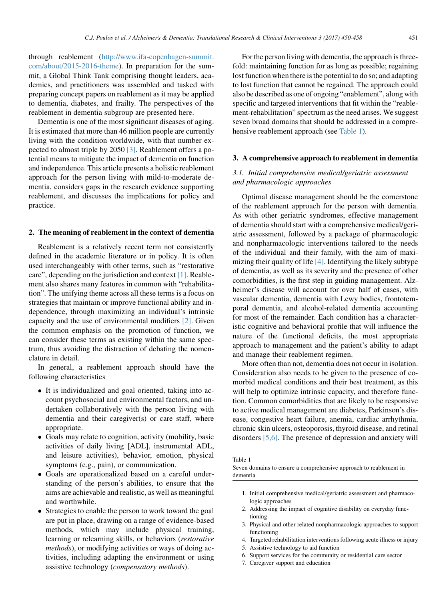through reablement ([http://www.ifa-copenhagen-summit.](http://www.ifa-copenhagen-summit.com/about/2015-2016-theme) [com/about/2015-2016-theme](http://www.ifa-copenhagen-summit.com/about/2015-2016-theme)). In preparation for the summit, a Global Think Tank comprising thought leaders, academics, and practitioners was assembled and tasked with preparing concept papers on reablement as it may be applied to dementia, diabetes, and frailty. The perspectives of the reablement in dementia subgroup are presented here.

Dementia is one of the most significant diseases of aging. It is estimated that more than 46 million people are currently living with the condition worldwide, with that number expected to almost triple by 2050 [\[3\]](#page-7-0). Reablement offers a potential means to mitigate the impact of dementia on function and independence. This article presents a holistic reablement approach for the person living with mild-to-moderate dementia, considers gaps in the research evidence supporting reablement, and discusses the implications for policy and practice.

#### 2. The meaning of reablement in the context of dementia

Reablement is a relatively recent term not consistently defined in the academic literature or in policy. It is often used interchangeably with other terms, such as "restorative care", depending on the jurisdiction and context [\[1\]](#page-7-0). Reablement also shares many features in common with "rehabilitation". The unifying theme across all these terms is a focus on strategies that maintain or improve functional ability and independence, through maximizing an individual's intrinsic capacity and the use of environmental modifiers [\[2\]](#page-7-0). Given the common emphasis on the promotion of function, we can consider these terms as existing within the same spectrum, thus avoiding the distraction of debating the nomenclature in detail.

In general, a reablement approach should have the following characteristics

- It is individualized and goal oriented, taking into account psychosocial and environmental factors, and undertaken collaboratively with the person living with dementia and their caregiver(s) or care staff, where appropriate.
- Goals may relate to cognition, activity (mobility, basic activities of daily living [ADL], instrumental ADL, and leisure activities), behavior, emotion, physical symptoms (e.g., pain), or communication.
- Goals are operationalized based on a careful understanding of the person's abilities, to ensure that the aims are achievable and realistic, as well as meaningful and worthwhile.
- Strategies to enable the person to work toward the goal are put in place, drawing on a range of evidence-based methods, which may include physical training, learning or relearning skills, or behaviors (*restorative methods*), or modifying activities or ways of doing activities, including adapting the environment or using assistive technology (*compensatory methods*).

For the person living with dementia, the approach is threefold: maintaining function for as long as possible; regaining lost function when there is the potential to do so; and adapting to lost function that cannot be regained. The approach could also be described as one of ongoing "enablement", along with specific and targeted interventions that fit within the "reablement-rehabilitation" spectrum as the need arises. We suggest seven broad domains that should be addressed in a comprehensive reablement approach (see Table 1).

#### 3. A comprehensive approach to reablement in dementia

# *3.1. Initial comprehensive medical/geriatric assessment and pharmacologic approaches*

Optimal disease management should be the cornerstone of the reablement approach for the person with dementia. As with other geriatric syndromes, effective management of dementia should start with a comprehensive medical/geriatric assessment, followed by a package of pharmacologic and nonpharmacologic interventions tailored to the needs of the individual and their family, with the aim of maximizing their quality of life [\[4\].](#page-7-0) Identifying the likely subtype of dementia, as well as its severity and the presence of other comorbidities, is the first step in guiding management. Alzheimer's disease will account for over half of cases, with vascular dementia, dementia with Lewy bodies, frontotemporal dementia, and alcohol-related dementia accounting for most of the remainder. Each condition has a characteristic cognitive and behavioral profile that will influence the nature of the functional deficits, the most appropriate approach to management and the patient's ability to adapt and manage their reablement regimen.

More often than not, dementia does not occur in isolation. Consideration also needs to be given to the presence of comorbid medical conditions and their best treatment, as this will help to optimize intrinsic capacity, and therefore function. Common comorbidities that are likely to be responsive to active medical management are diabetes, Parkinson's disease, congestive heart failure, anemia, cardiac arrhythmia, chronic skin ulcers, osteoporosis, thyroid disease, and retinal disorders [\[5,6\]](#page-7-0). The presence of depression and anxiety will

Table 1

Seven domains to ensure a comprehensive approach to reablement in dementia

- 1. Initial comprehensive medical/geriatric assessment and pharmacologic approaches
- 2. Addressing the impact of cognitive disability on everyday functioning
- 3. Physical and other related nonpharmacologic approaches to support functioning
- 4. Targeted rehabilitation interventions following acute illness or injury
- 5. Assistive technology to aid function
- 6. Support services for the community or residential care sector
- 7. Caregiver support and education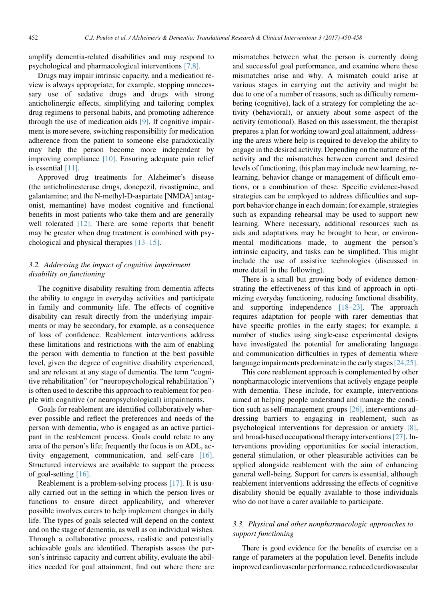amplify dementia-related disabilities and may respond to psychological and pharmacological interventions [\[7,8\]](#page-7-0).

Drugs may impair intrinsic capacity, and a medication review is always appropriate; for example, stopping unnecessary use of sedative drugs and drugs with strong anticholinergic effects, simplifying and tailoring complex drug regimens to personal habits, and promoting adherence through the use of medication aids [\[9\].](#page-7-0) If cognitive impairment is more severe, switching responsibility for medication adherence from the patient to someone else paradoxically may help the person become more independent by improving compliance [\[10\].](#page-7-0) Ensuring adequate pain relief is essential [\[11\]](#page-7-0).

Approved drug treatments for Alzheimer's disease (the anticholinesterase drugs, donepezil, rivastigmine, and galantamine; and the N-methyl-D-aspartate [NMDA] antagonist, memantine) have modest cognitive and functional benefits in most patients who take them and are generally well tolerated [\[12\]](#page-7-0). There are some reports that benefit may be greater when drug treatment is combined with psychological and physical therapies [\[13–15\].](#page-7-0)

# *3.2. Addressing the impact of cognitive impairment disability on functioning*

The cognitive disability resulting from dementia affects the ability to engage in everyday activities and participate in family and community life. The effects of cognitive disability can result directly from the underlying impairments or may be secondary, for example, as a consequence of loss of confidence. Reablement interventions address these limitations and restrictions with the aim of enabling the person with dementia to function at the best possible level, given the degree of cognitive disability experienced, and are relevant at any stage of dementia. The term "cognitive rehabilitation" (or "neuropsychological rehabilitation") is often used to describe this approach to reablement for people with cognitive (or neuropsychological) impairments.

Goals for reablement are identified collaboratively wherever possible and reflect the preferences and needs of the person with dementia, who is engaged as an active participant in the reablement process. Goals could relate to any area of the person's life; frequently the focus is on ADL, activity engagement, communication, and self-care [\[16\].](#page-7-0) Structured interviews are available to support the process of goal-setting [\[16\].](#page-7-0)

Reablement is a problem-solving process [\[17\].](#page-7-0) It is usually carried out in the setting in which the person lives or functions to ensure direct applicability, and wherever possible involves carers to help implement changes in daily life. The types of goals selected will depend on the context and on the stage of dementia, as well as on individual wishes. Through a collaborative process, realistic and potentially achievable goals are identified. Therapists assess the person's intrinsic capacity and current ability, evaluate the abilities needed for goal attainment, find out where there are mismatches between what the person is currently doing and successful goal performance, and examine where these mismatches arise and why. A mismatch could arise at various stages in carrying out the activity and might be due to one of a number of reasons, such as difficulty remembering (cognitive), lack of a strategy for completing the activity (behavioral), or anxiety about some aspect of the activity (emotional). Based on this assessment, the therapist prepares a plan for working toward goal attainment, addressing the areas where help is required to develop the ability to engage in the desired activity. Depending on the nature of the activity and the mismatches between current and desired levels of functioning, this plan may include new learning, relearning, behavior change or management of difficult emotions, or a combination of these. Specific evidence-based strategies can be employed to address difficulties and support behavior change in each domain; for example, strategies such as expanding rehearsal may be used to support new learning. Where necessary, additional resources such as aids and adaptations may be brought to bear, or environmental modifications made, to augment the person's intrinsic capacity, and tasks can be simplified. This might include the use of assistive technologies (discussed in more detail in the following).

There is a small but growing body of evidence demonstrating the effectiveness of this kind of approach in optimizing everyday functioning, reducing functional disability, and supporting independence [\[18–23\].](#page-7-0) The approach requires adaptation for people with rarer dementias that have specific profiles in the early stages; for example, a number of studies using single-case experimental designs have investigated the potential for ameliorating language and communication difficulties in types of dementia where language impairments predominate in the early stages [\[24,25\].](#page-8-0)

This core reablement approach is complemented by other nonpharmacologic interventions that actively engage people with dementia. These include, for example, interventions aimed at helping people understand and manage the condition such as self-management groups [\[26\],](#page-8-0) interventions addressing barriers to engaging in reablement, such as psychological interventions for depression or anxiety [\[8\],](#page-7-0) and broad-based occupational therapy interventions [\[27\].](#page-8-0) Interventions providing opportunities for social interaction, general stimulation, or other pleasurable activities can be applied alongside reablement with the aim of enhancing general well-being. Support for carers is essential, although reablement interventions addressing the effects of cognitive disability should be equally available to those individuals who do not have a carer available to participate.

# *3.3. Physical and other nonpharmacologic approaches to support functioning*

There is good evidence for the benefits of exercise on a range of parameters at the population level. Benefits include improved cardiovascular performance, reduced cardiovascular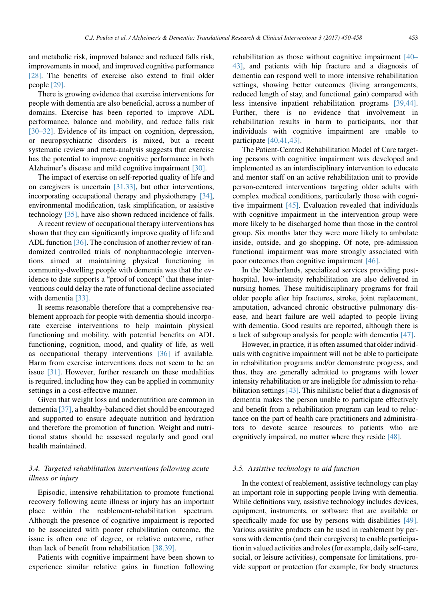and metabolic risk, improved balance and reduced falls risk, improvements in mood, and improved cognitive performance [\[28\]](#page-8-0). The benefits of exercise also extend to frail older people [\[29\].](#page-8-0)

There is growing evidence that exercise interventions for people with dementia are also beneficial, across a number of domains. Exercise has been reported to improve ADL performance, balance and mobility, and reduce falls risk [\[30–32\].](#page-8-0) Evidence of its impact on cognition, depression, or neuropsychiatric disorders is mixed, but a recent systematic review and meta-analysis suggests that exercise has the potential to improve cognitive performance in both Alzheimer's disease and mild cognitive impairment [\[30\]](#page-8-0).

The impact of exercise on self-reported quality of life and on caregivers is uncertain [\[31,33\],](#page-8-0) but other interventions, incorporating occupational therapy and physiotherapy [\[34\],](#page-8-0) environmental modification, task simplification, or assistive technology [\[35\]](#page-8-0), have also shown reduced incidence of falls.

A recent review of occupational therapy interventions has shown that they can significantly improve quality of life and ADL function [\[36\]](#page-8-0). The conclusion of another review of randomized controlled trials of nonpharmacologic interventions aimed at maintaining physical functioning in community-dwelling people with dementia was that the evidence to date supports a "proof of concept" that these interventions could delay the rate of functional decline associated with dementia [\[33\].](#page-8-0)

It seems reasonable therefore that a comprehensive reablement approach for people with dementia should incorporate exercise interventions to help maintain physical functioning and mobility, with potential benefits on ADL functioning, cognition, mood, and quality of life, as well as occupational therapy interventions [\[36\]](#page-8-0) if available. Harm from exercise interventions does not seem to be an issue [\[31\].](#page-8-0) However, further research on these modalities is required, including how they can be applied in community settings in a cost-effective manner.

Given that weight loss and undernutrition are common in dementia [\[37\]](#page-8-0), a healthy-balanced diet should be encouraged and supported to ensure adequate nutrition and hydration and therefore the promotion of function. Weight and nutritional status should be assessed regularly and good oral health maintained.

# *3.4. Targeted rehabilitation interventions following acute illness or injury*

Episodic, intensive rehabilitation to promote functional recovery following acute illness or injury has an important place within the reablement-rehabilitation spectrum. Although the presence of cognitive impairment is reported to be associated with poorer rehabilitation outcome, the issue is often one of degree, or relative outcome, rather than lack of benefit from rehabilitation [\[38,39\]](#page-8-0).

Patients with cognitive impairment have been shown to experience similar relative gains in function following rehabilitation as those without cognitive impairment [\[40–](#page-8-0) [43\]](#page-8-0), and patients with hip fracture and a diagnosis of dementia can respond well to more intensive rehabilitation settings, showing better outcomes (living arrangements, reduced length of stay, and functional gain) compared with less intensive inpatient rehabilitation programs [\[39,44\].](#page-8-0) Further, there is no evidence that involvement in rehabilitation results in harm to participants, nor that individuals with cognitive impairment are unable to participate [\[40,41,43\].](#page-8-0)

The Patient-Centred Rehabilitation Model of Care targeting persons with cognitive impairment was developed and implemented as an interdisciplinary intervention to educate and mentor staff on an active rehabilitation unit to provide person-centered interventions targeting older adults with complex medical conditions, particularly those with cognitive impairment [\[45\]](#page-8-0). Evaluation revealed that individuals with cognitive impairment in the intervention group were more likely to be discharged home than those in the control group. Six months later they were more likely to ambulate inside, outside, and go shopping. Of note, pre-admission functional impairment was more strongly associated with poor outcomes than cognitive impairment [\[46\].](#page-8-0)

In the Netherlands, specialized services providing posthospital, low-intensity rehabilitation are also delivered in nursing homes. These multidisciplinary programs for frail older people after hip fractures, stroke, joint replacement, amputation, advanced chronic obstructive pulmonary disease, and heart failure are well adapted to people living with dementia. Good results are reported, although there is a lack of subgroup analysis for people with dementia [\[47\]](#page-8-0).

However, in practice, it is often assumed that older individuals with cognitive impairment will not be able to participate in rehabilitation programs and/or demonstrate progress, and thus, they are generally admitted to programs with lower intensity rehabilitation or are ineligible for admission to reha-bilitation settings [\[43\]](#page-8-0). This nihilistic belief that a diagnosis of dementia makes the person unable to participate effectively and benefit from a rehabilitation program can lead to reluctance on the part of health care practitioners and administrators to devote scarce resources to patients who are cognitively impaired, no matter where they reside [\[48\].](#page-8-0)

#### *3.5. Assistive technology to aid function*

In the context of reablement, assistive technology can play an important role in supporting people living with dementia. While definitions vary, assistive technology includes devices, equipment, instruments, or software that are available or specifically made for use by persons with disabilities [\[49\].](#page-8-0) Various assistive products can be used in reablement by persons with dementia (and their caregivers) to enable participation in valued activities and roles (for example, daily self-care, social, or leisure activities), compensate for limitations, provide support or protection (for example, for body structures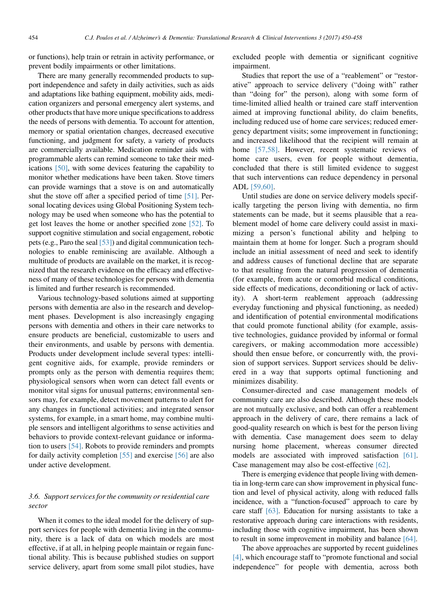or functions), help train or retrain in activity performance, or prevent bodily impairments or other limitations.

There are many generally recommended products to support independence and safety in daily activities, such as aids and adaptations like bathing equipment, mobility aids, medication organizers and personal emergency alert systems, and other products that have more unique specifications to address the needs of persons with dementia. To account for attention, memory or spatial orientation changes, decreased executive functioning, and judgment for safety, a variety of products are commercially available. Medication reminder aids with programmable alerts can remind someone to take their medications [\[50\]](#page-8-0), with some devices featuring the capability to monitor whether medications have been taken. Stove timers can provide warnings that a stove is on and automatically shut the stove off after a specified period of time [\[51\]](#page-8-0). Personal locating devices using Global Positioning System technology may be used when someone who has the potential to get lost leaves the home or another specified zone [\[52\].](#page-8-0) To support cognitive stimulation and social engagement, robotic pets (e.g., Paro the seal [\[53\]](#page-8-0)) and digital communication technologies to enable reminiscing are available. Although a multitude of products are available on the market, it is recognized that the research evidence on the efficacy and effectiveness of many of these technologies for persons with dementia is limited and further research is recommended.

Various technology-based solutions aimed at supporting persons with dementia are also in the research and development phases. Development is also increasingly engaging persons with dementia and others in their care networks to ensure products are beneficial, customizable to users and their environments, and usable by persons with dementia. Products under development include several types: intelligent cognitive aids, for example, provide reminders or prompts only as the person with dementia requires them; physiological sensors when worn can detect fall events or monitor vital signs for unusual patterns; environmental sensors may, for example, detect movement patterns to alert for any changes in functional activities; and integrated sensor systems, for example, in a smart home, may combine multiple sensors and intelligent algorithms to sense activities and behaviors to provide context-relevant guidance or information to users [\[54\].](#page-8-0) Robots to provide reminders and prompts for daily activity completion [\[55\]](#page-8-0) and exercise [\[56\]](#page-8-0) are also under active development.

# *3.6. Support services for the community or residential care sector*

When it comes to the ideal model for the delivery of support services for people with dementia living in the community, there is a lack of data on which models are most effective, if at all, in helping people maintain or regain functional ability. This is because published studies on support service delivery, apart from some small pilot studies, have excluded people with dementia or significant cognitive impairment.

Studies that report the use of a "reablement" or "restorative" approach to service delivery ("doing with" rather than "doing for" the person), along with some form of time-limited allied health or trained care staff intervention aimed at improving functional ability, do claim benefits, including reduced use of home care services; reduced emergency department visits; some improvement in functioning; and increased likelihood that the recipient will remain at home [\[57,58\]](#page-8-0). However, recent systematic reviews of home care users, even for people without dementia, concluded that there is still limited evidence to suggest that such interventions can reduce dependency in personal ADL [\[59,60\]](#page-8-0).

Until studies are done on service delivery models specifically targeting the person living with dementia, no firm statements can be made, but it seems plausible that a reablement model of home care delivery could assist in maximizing a person's functional ability and helping to maintain them at home for longer. Such a program should include an initial assessment of need and seek to identify and address causes of functional decline that are separate to that resulting from the natural progression of dementia (for example, from acute or comorbid medical conditions, side effects of medications, deconditioning or lack of activity). A short-term reablement approach (addressing everyday functioning and physical functioning, as needed) and identification of potential environmental modifications that could promote functional ability (for example, assistive technologies, guidance provided by informal or formal caregivers, or making accommodation more accessible) should then ensue before, or concurrently with, the provision of support services. Support services should be delivered in a way that supports optimal functioning and minimizes disability.

Consumer-directed and case management models of community care are also described. Although these models are not mutually exclusive, and both can offer a reablement approach in the delivery of care, there remains a lack of good-quality research on which is best for the person living with dementia. Case management does seem to delay nursing home placement, whereas consumer directed models are associated with improved satisfaction [\[61\].](#page-9-0) Case management may also be cost-effective [\[62\].](#page-9-0)

There is emerging evidence that people living with dementia in long-term care can show improvement in physical function and level of physical activity, along with reduced falls incidence, with a "function-focused" approach to care by care staff [\[63\].](#page-9-0) Education for nursing assistants to take a restorative approach during care interactions with residents, including those with cognitive impairment, has been shown to result in some improvement in mobility and balance [\[64\].](#page-9-0)

The above approaches are supported by recent guidelines [\[4\],](#page-7-0) which encourage staff to "promote functional and social independence" for people with dementia, across both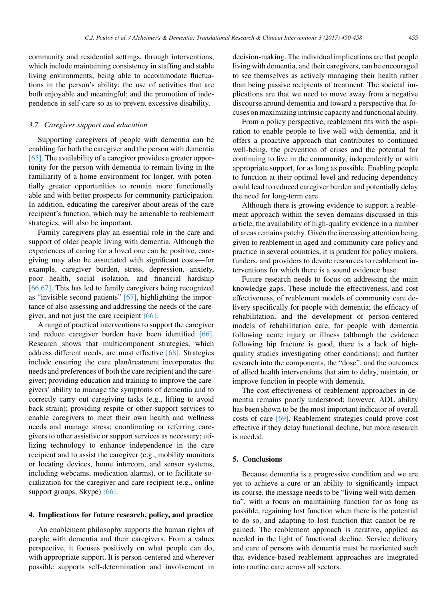community and residential settings, through interventions, which include maintaining consistency in staffing and stable living environments; being able to accommodate fluctuations in the person's ability; the use of activities that are both enjoyable and meaningful; and the promotion of independence in self-care so as to prevent excessive disability.

## *3.7. Caregiver support and education*

Supporting caregivers of people with dementia can be enabling for both the caregiver and the person with dementia [\[65\].](#page-9-0) The availability of a caregiver provides a greater opportunity for the person with dementia to remain living in the familiarity of a home environment for longer, with potentially greater opportunities to remain more functionally able and with better prospects for community participation. In addition, educating the caregiver about areas of the care recipient's function, which may be amenable to reablement strategies, will also be important.

Family caregivers play an essential role in the care and support of older people living with dementia. Although the experiences of caring for a loved one can be positive, caregiving may also be associated with significant costs—for example, caregiver burden, stress, depression, anxiety, poor health, social isolation, and financial hardship [\[66,67\]](#page-9-0). This has led to family caregivers being recognized as "invisible second patients" [\[67\]](#page-9-0), highlighting the importance of also assessing and addressing the needs of the caregiver, and not just the care recipient [\[66\]](#page-9-0).

A range of practical interventions to support the caregiver and reduce caregiver burden have been identified [\[66\].](#page-9-0) Research shows that multicomponent strategies, which address different needs, are most effective [\[68\].](#page-9-0) Strategies include ensuring the care plan/treatment incorporates the needs and preferences of both the care recipient and the caregiver; providing education and training to improve the caregivers' ability to manage the symptoms of dementia and to correctly carry out caregiving tasks (e.g., lifting to avoid back strain); providing respite or other support services to enable caregivers to meet their own health and wellness needs and manage stress; coordinating or referring caregivers to other assistive or support services as necessary; utilizing technology to enhance independence in the care recipient and to assist the caregiver (e.g., mobility monitors or locating devices, home intercom, and sensor systems, including webcams, medication alarms), or to facilitate socialization for the caregiver and care recipient (e.g., online support groups, Skype) [\[66\].](#page-9-0)

#### 4. Implications for future research, policy, and practice

An enablement philosophy supports the human rights of people with dementia and their caregivers. From a values perspective, it focuses positively on what people can do, with appropriate support. It is person-centered and wherever possible supports self-determination and involvement in decision-making. The individual implications are that people living with dementia, and their caregivers, can be encouraged to see themselves as actively managing their health rather than being passive recipients of treatment. The societal implications are that we need to move away from a negative discourse around dementia and toward a perspective that focuses on maximizing intrinsic capacity and functional ability.

From a policy perspective, reablement fits with the aspiration to enable people to live well with dementia, and it offers a proactive approach that contributes to continued well-being, the prevention of crises and the potential for continuing to live in the community, independently or with appropriate support, for as long as possible. Enabling people to function at their optimal level and reducing dependency could lead to reduced caregiver burden and potentially delay the need for long-term care.

Although there is growing evidence to support a reablement approach within the seven domains discussed in this article, the availability of high-quality evidence in a number of areas remains patchy. Given the increasing attention being given to reablement in aged and community care policy and practice in several countries, it is prudent for policy makers, funders, and providers to devote resources to reablement interventions for which there is a sound evidence base.

Future research needs to focus on addressing the main knowledge gaps. These include the effectiveness, and cost effectiveness, of reablement models of community care delivery specifically for people with dementia; the efficacy of rehabilitation, and the development of person-centered models of rehabilitation care, for people with dementia following acute injury or illness (although the evidence following hip fracture is good, there is a lack of highquality studies investigating other conditions); and further research into the components, the "dose", and the outcomes of allied health interventions that aim to delay, maintain, or improve function in people with dementia.

The cost-effectiveness of reablement approaches in dementia remains poorly understood; however, ADL ability has been shown to be the most important indicator of overall costs of care [\[69\]](#page-9-0). Reablement strategies could prove cost effective if they delay functional decline, but more research is needed.

## 5. Conclusions

Because dementia is a progressive condition and we are yet to achieve a cure or an ability to significantly impact its course, the message needs to be "living well with dementia", with a focus on maintaining function for as long as possible, regaining lost function when there is the potential to do so, and adapting to lost function that cannot be regained. The reablement approach is iterative, applied as needed in the light of functional decline. Service delivery and care of persons with dementia must be reoriented such that evidence-based reablement approaches are integrated into routine care across all sectors.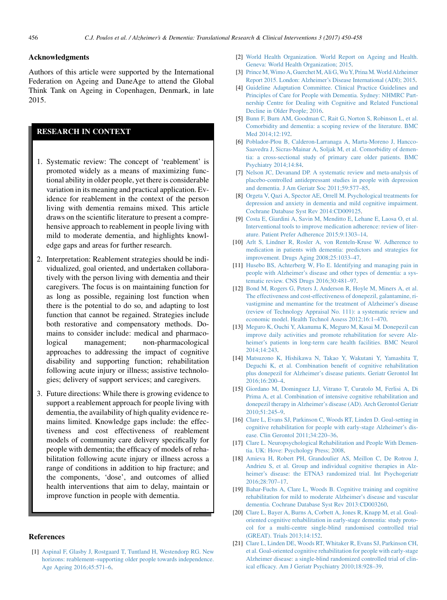# <span id="page-7-0"></span>Acknowledgments

Authors of this article were supported by the International Federation on Ageing and DaneAge to attend the Global Think Tank on Ageing in Copenhagen, Denmark, in late 2015.

# RESEARCH IN CONTEXT

- 1. Systematic review: The concept of 'reablement' is promoted widely as a means of maximizing functional ability in older people, yet there is considerable variation in its meaning and practical application. Evidence for reablement in the context of the person living with dementia remains mixed. This article draws on the scientific literature to present a comprehensive approach to reablement in people living with mild to moderate dementia, and highlights knowledge gaps and areas for further research.
- 2. Interpretation: Reablement strategies should be individualized, goal oriented, and undertaken collaboratively with the person living with dementia and their caregivers. The focus is on maintaining function for as long as possible, regaining lost function when there is the potential to do so, and adapting to lost function that cannot be regained. Strategies include both restorative and compensatory methods. Domains to consider include: medical and pharmacological management; non-pharmacological approaches to addressing the impact of cognitive disability and supporting function; rehabilitation following acute injury or illness; assistive technologies; delivery of support services; and caregivers.
- 3. Future directions: While there is growing evidence to support a reablement approach for people living with dementia, the availability of high quality evidence remains limited. Knowledge gaps include: the effectiveness and cost effectiveness of reablement models of community care delivery specifically for people with dementia; the efficacy of models of rehabilitation following acute injury or illness across a range of conditions in addition to hip fracture; and the components, 'dose', and outcomes of allied health interventions that aim to delay, maintain or improve function in people with dementia.

## References

[1] [Aspinal F, Glasby J, Rostgaard T, Tuntland H, Westendorp RG. New](http://refhub.elsevier.com/S2352-8737(17)30043-4/sref1) [horizons: reablement–supporting older people towards independence.](http://refhub.elsevier.com/S2352-8737(17)30043-4/sref1) [Age Ageing 2016;45:571–6](http://refhub.elsevier.com/S2352-8737(17)30043-4/sref1).

- [2] [World Health Organization. World Report on Ageing and Health.](http://refhub.elsevier.com/S2352-8737(17)30043-4/sref2) [Geneva: World Health Organization; 2015](http://refhub.elsevier.com/S2352-8737(17)30043-4/sref2).
- [3] [PrinceM,Wimo A, GuerchetM, Ali G,Wu Y, PrinaM.World Alzheimer](http://refhub.elsevier.com/S2352-8737(17)30043-4/sref3) [Report 2015. London: Alzheimer's Disease International \(ADI\); 2015.](http://refhub.elsevier.com/S2352-8737(17)30043-4/sref3)
- [4] [Guideline Adaptation Committee. Clinical Practice Guidelines and](http://refhub.elsevier.com/S2352-8737(17)30043-4/sref4) [Principles of Care for People with Dementia. Sydney: NHMRC Part](http://refhub.elsevier.com/S2352-8737(17)30043-4/sref4)[nership Centre for Dealing with Cognitive and Related Functional](http://refhub.elsevier.com/S2352-8737(17)30043-4/sref4) [Decline in Older People; 2016](http://refhub.elsevier.com/S2352-8737(17)30043-4/sref4).
- [5] [Bunn F, Burn AM, Goodman C, Rait G, Norton S, Robinson L, et al.](http://refhub.elsevier.com/S2352-8737(17)30043-4/sref5) [Comorbidity and dementia: a scoping review of the literature. BMC](http://refhub.elsevier.com/S2352-8737(17)30043-4/sref5) [Med 2014;12:192](http://refhub.elsevier.com/S2352-8737(17)30043-4/sref5).
- [6] [Poblador-Plou B, Calderon-Larranaga A, Marta-Moreno J, Hancco-](http://refhub.elsevier.com/S2352-8737(17)30043-4/sref6)[Saavedra J, Sicras-Mainar A, Soljak M, et al. Comorbidity of demen](http://refhub.elsevier.com/S2352-8737(17)30043-4/sref6)[tia: a cross-sectional study of primary care older patients. BMC](http://refhub.elsevier.com/S2352-8737(17)30043-4/sref6) [Psychiatry 2014;14:84](http://refhub.elsevier.com/S2352-8737(17)30043-4/sref6).
- [7] [Nelson JC, Devanand DP. A systematic review and meta-analysis of](http://refhub.elsevier.com/S2352-8737(17)30043-4/sref7) [placebo-controlled antidepressant studies in people with depression](http://refhub.elsevier.com/S2352-8737(17)30043-4/sref7) [and dementia. J Am Geriatr Soc 2011;59:577–85.](http://refhub.elsevier.com/S2352-8737(17)30043-4/sref7)
- [8] [Orgeta V, Qazi A, Spector AE, Orrell M. Psychological treatments for](http://refhub.elsevier.com/S2352-8737(17)30043-4/sref8) [depression and anxiety in dementia and mild cognitive impairment.](http://refhub.elsevier.com/S2352-8737(17)30043-4/sref8) [Cochrane Database Syst Rev 2014:CD009125](http://refhub.elsevier.com/S2352-8737(17)30043-4/sref8).
- [9] [Costa E, Giardini A, Savin M, Menditto E, Lehane E, Laosa O, et al.](http://refhub.elsevier.com/S2352-8737(17)30043-4/sref9) [Interventional tools to improve medication adherence: review of liter](http://refhub.elsevier.com/S2352-8737(17)30043-4/sref9)[ature. Patient Prefer Adherence 2015;9:1303–14](http://refhub.elsevier.com/S2352-8737(17)30043-4/sref9).
- [10] [Arlt S, Lindner R, Rosler A, von Renteln-Kruse W. Adherence to](http://refhub.elsevier.com/S2352-8737(17)30043-4/sref10) [medication in patients with dementia: predictors and strategies for](http://refhub.elsevier.com/S2352-8737(17)30043-4/sref10) [improvement. Drugs Aging 2008;25:1033–47.](http://refhub.elsevier.com/S2352-8737(17)30043-4/sref10)
- [11] [Husebo BS, Achterberg W, Flo E. Identifying and managing pain in](http://refhub.elsevier.com/S2352-8737(17)30043-4/sref11) [people with Alzheimer's disease and other types of dementia: a sys](http://refhub.elsevier.com/S2352-8737(17)30043-4/sref11)[tematic review. CNS Drugs 2016;30:481–97](http://refhub.elsevier.com/S2352-8737(17)30043-4/sref11).
- [12] [Bond M, Rogers G, Peters J, Anderson R, Hoyle M, Miners A, et al.](http://refhub.elsevier.com/S2352-8737(17)30043-4/sref12) [The effectiveness and cost-effectiveness of donepezil, galantamine, ri](http://refhub.elsevier.com/S2352-8737(17)30043-4/sref12)[vastigmine and memantine for the treatment of Alzheimer's disease](http://refhub.elsevier.com/S2352-8737(17)30043-4/sref12) [\(review of Technology Appraisal No. 111\): a systematic review and](http://refhub.elsevier.com/S2352-8737(17)30043-4/sref12) [economic model. Health Technol Assess 2012;16:1–470.](http://refhub.elsevier.com/S2352-8737(17)30043-4/sref12)
- [13] [Meguro K, Ouchi Y, Akanuma K, Meguro M, Kasai M. Donepezil can](http://refhub.elsevier.com/S2352-8737(17)30043-4/sref13) [improve daily activities and promote rehabilitation for severe Alz](http://refhub.elsevier.com/S2352-8737(17)30043-4/sref13)[heimer's patients in long-term care health facilities. BMC Neurol](http://refhub.elsevier.com/S2352-8737(17)30043-4/sref13) [2014;14:243](http://refhub.elsevier.com/S2352-8737(17)30043-4/sref13).
- [14] [Matsuzono K, Hishikawa N, Takao Y, Wakutani Y, Yamashita T,](http://refhub.elsevier.com/S2352-8737(17)30043-4/sref14) [Deguchi K, et al. Combination benefit of cognitive rehabilitation](http://refhub.elsevier.com/S2352-8737(17)30043-4/sref14) [plus donepezil for Alzheimer's disease patients. Geriatr Gerontol Int](http://refhub.elsevier.com/S2352-8737(17)30043-4/sref14) [2016;16:200–4](http://refhub.elsevier.com/S2352-8737(17)30043-4/sref14).
- [15] [Giordano M, Dominguez LJ, Vitrano T, Curatolo M, Ferlisi A, Di](http://refhub.elsevier.com/S2352-8737(17)30043-4/sref15) [Prima A, et al. Combination of intensive cognitive rehabilitation and](http://refhub.elsevier.com/S2352-8737(17)30043-4/sref15) [donepezil therapy in Alzheimer's disease \(AD\). Arch Gerontol Geriatr](http://refhub.elsevier.com/S2352-8737(17)30043-4/sref15) [2010;51:245–9](http://refhub.elsevier.com/S2352-8737(17)30043-4/sref15).
- [16] [Clare L, Evans SJ, Parkinson C, Woods RT, Linden D. Goal-setting in](http://refhub.elsevier.com/S2352-8737(17)30043-4/sref16) [cognitive rehabilitation for people with early-stage Alzheimer's dis](http://refhub.elsevier.com/S2352-8737(17)30043-4/sref16)[ease. Clin Gerontol 2011;34:220–36.](http://refhub.elsevier.com/S2352-8737(17)30043-4/sref16)
- [17] [Clare L. Neuropsychological Rehabilitation and People With Demen](http://refhub.elsevier.com/S2352-8737(17)30043-4/sref17)[tia. UK: Hove: Psychology Press; 2008](http://refhub.elsevier.com/S2352-8737(17)30043-4/sref17).
- [18] [Amieva H, Robert PH, Grandoulier AS, Meillon C, De Rotrou J,](http://refhub.elsevier.com/S2352-8737(17)30043-4/sref18) [Andrieu S, et al. Group and individual cognitive therapies in Alz](http://refhub.elsevier.com/S2352-8737(17)30043-4/sref18)[heimer's disease: the ETNA3 randomized trial. Int Psychogeriatr](http://refhub.elsevier.com/S2352-8737(17)30043-4/sref18) [2016;28:707–17](http://refhub.elsevier.com/S2352-8737(17)30043-4/sref18).
- [19] [Bahar-Fuchs A, Clare L, Woods B. Cognitive training and cognitive](http://refhub.elsevier.com/S2352-8737(17)30043-4/sref19) [rehabilitation for mild to moderate Alzheimer's disease and vascular](http://refhub.elsevier.com/S2352-8737(17)30043-4/sref19) [dementia. Cochrane Database Syst Rev 2013:CD003260.](http://refhub.elsevier.com/S2352-8737(17)30043-4/sref19)
- [20] [Clare L, Bayer A, Burns A, Corbett A, Jones R, Knapp M, et al. Goal](http://refhub.elsevier.com/S2352-8737(17)30043-4/sref20)[oriented cognitive rehabilitation in early-stage dementia: study proto](http://refhub.elsevier.com/S2352-8737(17)30043-4/sref20)[col for a multi-centre single-blind randomised controlled trial](http://refhub.elsevier.com/S2352-8737(17)30043-4/sref20) [\(GREAT\). Trials 2013;14:152](http://refhub.elsevier.com/S2352-8737(17)30043-4/sref20).
- [21] [Clare L, Linden DE, Woods RT, Whitaker R, Evans SJ, Parkinson CH,](http://refhub.elsevier.com/S2352-8737(17)30043-4/sref21) [et al. Goal-oriented cognitive rehabilitation for people with early-stage](http://refhub.elsevier.com/S2352-8737(17)30043-4/sref21) [Alzheimer disease: a single-blind randomized controlled trial of clin](http://refhub.elsevier.com/S2352-8737(17)30043-4/sref21)[ical efficacy. Am J Geriatr Psychiatry 2010;18:928–39](http://refhub.elsevier.com/S2352-8737(17)30043-4/sref21).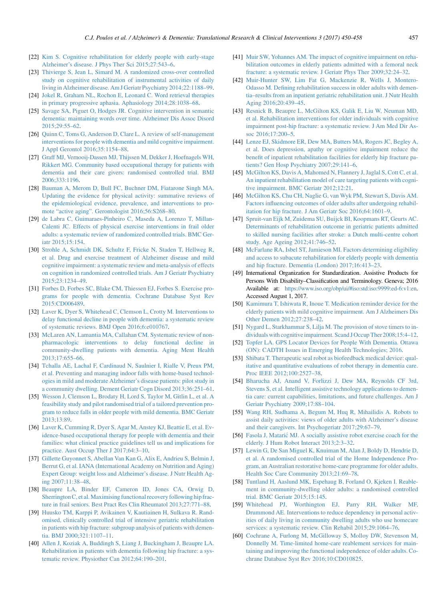- <span id="page-8-0"></span>[22] [Kim S. Cognitive rehabilitation for elderly people with early-stage](http://refhub.elsevier.com/S2352-8737(17)30043-4/sref22) [Alzheimer's disease. J Phys Ther Sci 2015;27:543–6](http://refhub.elsevier.com/S2352-8737(17)30043-4/sref22).
- [23] [Thivierge S, Jean L, Simard M. A randomized cross-over controlled](http://refhub.elsevier.com/S2352-8737(17)30043-4/sref23) [study on cognitive rehabilitation of instrumental activities of daily](http://refhub.elsevier.com/S2352-8737(17)30043-4/sref23) living in Alzheimer disease. Am J Geriatr Psychiatry 2014;22:1188-99.
- [24] [Jokel R, Graham NL, Rochon E, Leonard C. Word retrieval therapies](http://refhub.elsevier.com/S2352-8737(17)30043-4/sref24) [in primary progressive aphasia. Aphasiology 2014;28:1038–68.](http://refhub.elsevier.com/S2352-8737(17)30043-4/sref24)
- [25] [Savage SA, Piguet O, Hodges JR. Cognitive intervention in semantic](http://refhub.elsevier.com/S2352-8737(17)30043-4/sref25) [dementia: maintaining words over time. Alzheimer Dis Assoc Disord](http://refhub.elsevier.com/S2352-8737(17)30043-4/sref25) [2015;29:55–62](http://refhub.elsevier.com/S2352-8737(17)30043-4/sref25).
- [26] [Quinn C, Toms G, Anderson D, Clare L. A review of self-management](http://refhub.elsevier.com/S2352-8737(17)30043-4/sref26) [interventions for people with dementia and mild cognitive impairment.](http://refhub.elsevier.com/S2352-8737(17)30043-4/sref26) [J Appl Gerontol 2016;35:1154–88.](http://refhub.elsevier.com/S2352-8737(17)30043-4/sref26)
- [27] [Graff MJ, Vernooij-Dassen MJ, Thijssen M, Dekker J, Hoefnagels WH,](http://refhub.elsevier.com/S2352-8737(17)30043-4/sref27) [Rikkert MG. Community based occupational therapy for patients with](http://refhub.elsevier.com/S2352-8737(17)30043-4/sref27) [dementia and their care givers: randomised controlled trial. BMJ](http://refhub.elsevier.com/S2352-8737(17)30043-4/sref27) [2006;333:1196](http://refhub.elsevier.com/S2352-8737(17)30043-4/sref27).
- [28] [Bauman A, Merom D, Bull FC, Buchner DM, Fiatarone Singh MA.](http://refhub.elsevier.com/S2352-8737(17)30043-4/sref28) [Updating the evidence for physical activity: summative reviews of](http://refhub.elsevier.com/S2352-8737(17)30043-4/sref28) [the epidemiological evidence, prevalence, and interventions to pro](http://refhub.elsevier.com/S2352-8737(17)30043-4/sref28)[mote "active aging". Gerontologist 2016;56:S268–80](http://refhub.elsevier.com/S2352-8737(17)30043-4/sref28).
- [29] [de Labra C, Guimaraes-Pinheiro C, Maseda A, Lorenzo T, Millan-](http://refhub.elsevier.com/S2352-8737(17)30043-4/sref29)[Calenti JC. Effects of physical exercise interventions in frail older](http://refhub.elsevier.com/S2352-8737(17)30043-4/sref29) [adults: a systematic review of randomized controlled trials. BMC Ger](http://refhub.elsevier.com/S2352-8737(17)30043-4/sref29)[iatr 2015;15:154](http://refhub.elsevier.com/S2352-8737(17)30043-4/sref29).
- [30] [Strohle A, Schmidt DK, Schultz F, Fricke N, Staden T, Hellweg R,](http://refhub.elsevier.com/S2352-8737(17)30043-4/sref30) [et al. Drug and exercise treatment of Alzheimer disease and mild](http://refhub.elsevier.com/S2352-8737(17)30043-4/sref30) [cognitive impairment: a systematic review and meta-analysis of effects](http://refhub.elsevier.com/S2352-8737(17)30043-4/sref30) [on cognition in randomized controlled trials. Am J Geriatr Psychiatry](http://refhub.elsevier.com/S2352-8737(17)30043-4/sref30) [2015;23:1234–49](http://refhub.elsevier.com/S2352-8737(17)30043-4/sref30).
- [31] [Forbes D, Forbes SC, Blake CM, Thiessen EJ, Forbes S. Exercise pro](http://refhub.elsevier.com/S2352-8737(17)30043-4/sref31)[grams for people with dementia. Cochrane Database Syst Rev](http://refhub.elsevier.com/S2352-8737(17)30043-4/sref31) [2015:CD006489](http://refhub.elsevier.com/S2352-8737(17)30043-4/sref31).
- [32] [Laver K, Dyer S, Whitehead C, Clemson L, Crotty M. Interventions to](http://refhub.elsevier.com/S2352-8737(17)30043-4/sref32) [delay functional decline in people with dementia: a systematic review](http://refhub.elsevier.com/S2352-8737(17)30043-4/sref32) [of systematic reviews. BMJ Open 2016;6:e010767](http://refhub.elsevier.com/S2352-8737(17)30043-4/sref32).
- [33] [McLaren AN, Lamantia MA, Callahan CM. Systematic review of non](http://refhub.elsevier.com/S2352-8737(17)30043-4/sref33)[pharmacologic interventions to delay functional decline in](http://refhub.elsevier.com/S2352-8737(17)30043-4/sref33) [community-dwelling patients with dementia. Aging Ment Health](http://refhub.elsevier.com/S2352-8737(17)30043-4/sref33) [2013;17:655–66](http://refhub.elsevier.com/S2352-8737(17)30043-4/sref33).
- [34] [Tchalla AE, Lachal F, Cardinaud N, Saulnier I, Rialle V, Preux PM,](http://refhub.elsevier.com/S2352-8737(17)30043-4/sref34) [et al. Preventing and managing indoor falls with home-based technol](http://refhub.elsevier.com/S2352-8737(17)30043-4/sref34)[ogies in mild and moderate Alzheimer's disease patients: pilot study in](http://refhub.elsevier.com/S2352-8737(17)30043-4/sref34) [a community dwelling. Dement Geriatr Cogn Disord 2013;36:251–61](http://refhub.elsevier.com/S2352-8737(17)30043-4/sref34).
- [35] [Wesson J, Clemson L, Brodaty H, Lord S, Taylor M, Gitlin L, et al. A](http://refhub.elsevier.com/S2352-8737(17)30043-4/sref35) [feasibility study and pilot randomised trial of a tailored prevention pro](http://refhub.elsevier.com/S2352-8737(17)30043-4/sref35)[gram to reduce falls in older people with mild dementia. BMC Geriatr](http://refhub.elsevier.com/S2352-8737(17)30043-4/sref35) [2013;13:89](http://refhub.elsevier.com/S2352-8737(17)30043-4/sref35).
- [36] [Laver K, Cumming R, Dyer S, Agar M, Anstey KJ, Beattie E, et al. Ev](http://refhub.elsevier.com/S2352-8737(17)30043-4/sref36)[idence-based occupational therapy for people with dementia and their](http://refhub.elsevier.com/S2352-8737(17)30043-4/sref36) [families: what clinical practice guidelines tell us and implications for](http://refhub.elsevier.com/S2352-8737(17)30043-4/sref36) [practice. Aust Occup Ther J 2017;64:3–10.](http://refhub.elsevier.com/S2352-8737(17)30043-4/sref36)
- [37] [Gillette Guyonnet S, Abellan Van Kan G, Alix E, Andrieu S, Belmin J,](http://refhub.elsevier.com/S2352-8737(17)30043-4/sref37) [Berrut G, et al. IANA \(International Academy on Nutrition and Aging\)](http://refhub.elsevier.com/S2352-8737(17)30043-4/sref37) [Expert Group: weight loss and Alzheimer's disease. J Nutr Health Ag](http://refhub.elsevier.com/S2352-8737(17)30043-4/sref37)[ing 2007;11:38–48.](http://refhub.elsevier.com/S2352-8737(17)30043-4/sref37)
- [38] [Beaupre LA, Binder EF, Cameron ID, Jones CA, Orwig D,](http://refhub.elsevier.com/S2352-8737(17)30043-4/sref38) Sherrington C, et al. Maximising functional recovery following hip frac[ture in frail seniors. Best Pract Res Clin Rheumatol 2013;27:771–88](http://refhub.elsevier.com/S2352-8737(17)30043-4/sref38).
- [39] [Huusko TM, Karppi P, Avikainen V, Kautiainen H, Sulkava R. Rand](http://refhub.elsevier.com/S2352-8737(17)30043-4/sref39)[omised, clinically controlled trial of intensive geriatric rehabilitation](http://refhub.elsevier.com/S2352-8737(17)30043-4/sref39) [in patients with hip fracture: subgroup analysis of patients with demen](http://refhub.elsevier.com/S2352-8737(17)30043-4/sref39)[tia. BMJ 2000;321:1107–11](http://refhub.elsevier.com/S2352-8737(17)30043-4/sref39).
- [40] [Allen J, Koziak A, Buddingh S, Liang J, Buckingham J, Beaupre LA.](http://refhub.elsevier.com/S2352-8737(17)30043-4/sref40) [Rehabilitation in patients with dementia following hip fracture: a sys](http://refhub.elsevier.com/S2352-8737(17)30043-4/sref40)[tematic review. Physiother Can 2012;64:190–201](http://refhub.elsevier.com/S2352-8737(17)30043-4/sref40).
- [41] [Muir SW, Yohannes AM. The impact of cognitive impairment on reha](http://refhub.elsevier.com/S2352-8737(17)30043-4/sref41)[bilitation outcomes in elderly patients admitted with a femoral neck](http://refhub.elsevier.com/S2352-8737(17)30043-4/sref41) [fracture: a systematic review. J Geriatr Phys Ther 2009;32:24–32.](http://refhub.elsevier.com/S2352-8737(17)30043-4/sref41)
- [42] [Muir-Hunter SW, Lim Fat G, Mackenzie R, Wells J, Montero-](http://refhub.elsevier.com/S2352-8737(17)30043-4/sref42)[Odasso M. Defining rehabilitation success in older adults with demen](http://refhub.elsevier.com/S2352-8737(17)30043-4/sref42)[tia–results from an inpatient geriatric rehabilitation unit. J Nutr Health](http://refhub.elsevier.com/S2352-8737(17)30043-4/sref42) [Aging 2016;20:439–45](http://refhub.elsevier.com/S2352-8737(17)30043-4/sref42).
- [43] [Resnick B, Beaupre L, McGilton KS, Galik E, Liu W, Neuman MD,](http://refhub.elsevier.com/S2352-8737(17)30043-4/sref43) [et al. Rehabilitation interventions for older individuals with cognitive](http://refhub.elsevier.com/S2352-8737(17)30043-4/sref43) [impairment post-hip fracture: a systematic review. J Am Med Dir As](http://refhub.elsevier.com/S2352-8737(17)30043-4/sref43)soc 2016;17:200-5.
- [44] [Lenze EJ, Skidmore ER, Dew MA, Butters MA, Rogers JC, Begley A,](http://refhub.elsevier.com/S2352-8737(17)30043-4/sref44) [et al. Does depression, apathy or cognitive impairment reduce the](http://refhub.elsevier.com/S2352-8737(17)30043-4/sref44) [benefit of inpatient rehabilitation facilities for elderly hip fracture pa](http://refhub.elsevier.com/S2352-8737(17)30043-4/sref44)[tients? Gen Hosp Psychiatry 2007;29:141–6.](http://refhub.elsevier.com/S2352-8737(17)30043-4/sref44)
- [45] [McGilton KS, Davis A, Mahomed N, Flannery J, Jaglal S, Cott C, et al.](http://refhub.elsevier.com/S2352-8737(17)30043-4/sref45) [An inpatient rehabilitation model of care targeting patients with cogni](http://refhub.elsevier.com/S2352-8737(17)30043-4/sref45)[tive impairment. BMC Geriatr 2012;12:21](http://refhub.elsevier.com/S2352-8737(17)30043-4/sref45).
- [46] [McGilton KS, Chu CH, Naglie G, van Wyk PM, Stewart S, Davis AM.](http://refhub.elsevier.com/S2352-8737(17)30043-4/sref46) [Factors influencing outcomes of older adults after undergoing rehabil](http://refhub.elsevier.com/S2352-8737(17)30043-4/sref46)[itation for hip fracture. J Am Geriatr Soc 2016;64:1601–9.](http://refhub.elsevier.com/S2352-8737(17)30043-4/sref46)
- [47] [Spruit-van Eijk M, Zuidema SU, Buijck BI, Koopmans RT, Geurts AC.](http://refhub.elsevier.com/S2352-8737(17)30043-4/sref47) [Determinants of rehabilitation outcome in geriatric patients admitted](http://refhub.elsevier.com/S2352-8737(17)30043-4/sref47) [to skilled nursing facilities after stroke: a Dutch multi-centre cohort](http://refhub.elsevier.com/S2352-8737(17)30043-4/sref47) [study. Age Ageing 2012;41:746–52](http://refhub.elsevier.com/S2352-8737(17)30043-4/sref47).
- [48] [McFarlane RA, Isbel ST, Jamieson MI. Factors determining eligibility](http://refhub.elsevier.com/S2352-8737(17)30043-4/sref48) [and access to subacute rehabilitation for elderly people with dementia](http://refhub.elsevier.com/S2352-8737(17)30043-4/sref48) [and hip fracture. Dementia \(London\) 2017;16:413–23](http://refhub.elsevier.com/S2352-8737(17)30043-4/sref48).
- [49] International Organization for Standardization. Assistive Products for Persons With Disability–Classification and Terminology. Geneva; 2016 Available at: <https://www.iso.org/obp/ui/#iso:std:iso:9999:ed-6:v1:en>. Accessed August 1, 2017.
- [50] [Kamimura T, Ishiwata R, Inoue T. Medication reminder device for the](http://refhub.elsevier.com/S2352-8737(17)30043-4/sref50) [elderly patients with mild cognitive impairment. Am J Alzheimers Dis](http://refhub.elsevier.com/S2352-8737(17)30043-4/sref50) [Other Demen 2012;27:238–42.](http://refhub.elsevier.com/S2352-8737(17)30043-4/sref50)
- [51] [Nygard L, Starkhammar S, Lilja M. The provision of stove timers to in](http://refhub.elsevier.com/S2352-8737(17)30043-4/sref51)[dividuals with cognitive impairment. Scand J Occup Ther 2008;15:4–12](http://refhub.elsevier.com/S2352-8737(17)30043-4/sref51).
- [52] [Topfer LA. GPS Locator Devices for People With Dementia. Ottawa](http://refhub.elsevier.com/S2352-8737(17)30043-4/sref52) [\(ON\): CADTH Issues in Emerging Health Technologies; 2016.](http://refhub.elsevier.com/S2352-8737(17)30043-4/sref52)
- [53] [Shibata T. Therapeutic seal robot as biofeedback medical device: qual](http://refhub.elsevier.com/S2352-8737(17)30043-4/sref53)[itative and quantitative evaluations of robot therapy in dementia care.](http://refhub.elsevier.com/S2352-8737(17)30043-4/sref53) [Proc IEEE 2012;100:2527–38.](http://refhub.elsevier.com/S2352-8737(17)30043-4/sref53)
- [54] [Bharucha AJ, Anand V, Forlizzi J, Dew MA, Reynolds CF 3rd,](http://refhub.elsevier.com/S2352-8737(17)30043-4/sref54) [Stevens S, et al. Intelligent assistive technology applications to demen](http://refhub.elsevier.com/S2352-8737(17)30043-4/sref54)[tia care: current capabilities, limitations, and future challenges. Am J](http://refhub.elsevier.com/S2352-8737(17)30043-4/sref54) [Geriatr Psychiatry 2009;17:88–104](http://refhub.elsevier.com/S2352-8737(17)30043-4/sref54).
- [55] [Wang RH, Sudhama A, Begum M, Huq R, Mihailidis A. Robots to](http://refhub.elsevier.com/S2352-8737(17)30043-4/sref55) [assist daily activities: views of older adults with Alzheimer's disease](http://refhub.elsevier.com/S2352-8737(17)30043-4/sref55) [and their caregivers. Int Psychogeriatr 2017;29:67–79.](http://refhub.elsevier.com/S2352-8737(17)30043-4/sref55)
- [56] [Fasola J, Matari](http://refhub.elsevier.com/S2352-8737(17)30043-4/sref56)ć [MJ. A socially assistive robot exercise coach for the](http://refhub.elsevier.com/S2352-8737(17)30043-4/sref56) [elderly. J Hum Robot Interact 2013;2:3–32](http://refhub.elsevier.com/S2352-8737(17)30043-4/sref56).
- [57] [Lewin G, De San Miguel K, Knuiman M, Alan J, Boldy D, Hendrie D,](http://refhub.elsevier.com/S2352-8737(17)30043-4/sref57) [et al. A randomised controlled trial of the Home Independence Pro](http://refhub.elsevier.com/S2352-8737(17)30043-4/sref57)[gram, an Australian restorative home-care programme for older adults.](http://refhub.elsevier.com/S2352-8737(17)30043-4/sref57) [Health Soc Care Community 2013;21:69–78.](http://refhub.elsevier.com/S2352-8737(17)30043-4/sref57)
- [58] [Tuntland H, Aaslund MK, Espehaug B, Forland O, Kjeken I. Reable](http://refhub.elsevier.com/S2352-8737(17)30043-4/sref58)[ment in community-dwelling older adults: a randomised controlled](http://refhub.elsevier.com/S2352-8737(17)30043-4/sref58) [trial. BMC Geriatr 2015;15:145](http://refhub.elsevier.com/S2352-8737(17)30043-4/sref58).
- [59] [Whitehead PJ, Worthington EJ, Parry RH, Walker MF,](http://refhub.elsevier.com/S2352-8737(17)30043-4/sref59) [Drummond AE. Interventions to reduce dependency in personal activ](http://refhub.elsevier.com/S2352-8737(17)30043-4/sref59)[ities of daily living in community dwelling adults who use homecare](http://refhub.elsevier.com/S2352-8737(17)30043-4/sref59) [services: a systematic review. Clin Rehabil 2015;29:1064–76](http://refhub.elsevier.com/S2352-8737(17)30043-4/sref59).
- [60] [Cochrane A, Furlong M, McGilloway S, Molloy DW, Stevenson M,](http://refhub.elsevier.com/S2352-8737(17)30043-4/sref60) [Donnelly M. Time-limited home-care reablement services for main](http://refhub.elsevier.com/S2352-8737(17)30043-4/sref60)[taining and improving the functional independence of older adults. Co](http://refhub.elsevier.com/S2352-8737(17)30043-4/sref60)[chrane Database Syst Rev 2016;10:CD010825](http://refhub.elsevier.com/S2352-8737(17)30043-4/sref60).